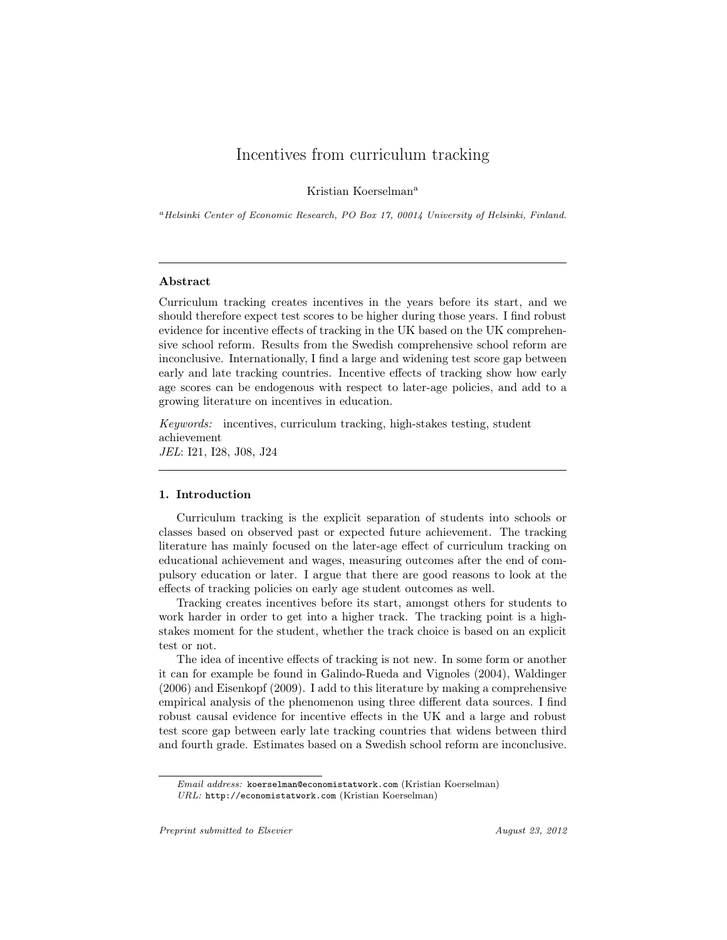# Incentives from curriculum tracking

Kristian Koerselman<sup>a</sup>

<sup>a</sup>Helsinki Center of Economic Research, PO Box 17, 00014 University of Helsinki, Finland.

#### Abstract

Curriculum tracking creates incentives in the years before its start, and we should therefore expect test scores to be higher during those years. I find robust evidence for incentive effects of tracking in the UK based on the UK comprehensive school reform. Results from the Swedish comprehensive school reform are inconclusive. Internationally, I find a large and widening test score gap between early and late tracking countries. Incentive effects of tracking show how early age scores can be endogenous with respect to later-age policies, and add to a growing literature on incentives in education.

Keywords: incentives, curriculum tracking, high-stakes testing, student achievement JEL: I21, I28, J08, J24

## 1. Introduction

Curriculum tracking is the explicit separation of students into schools or classes based on observed past or expected future achievement. The tracking literature has mainly focused on the later-age effect of curriculum tracking on educational achievement and wages, measuring outcomes after the end of compulsory education or later. I argue that there are good reasons to look at the effects of tracking policies on early age student outcomes as well.

Tracking creates incentives before its start, amongst others for students to work harder in order to get into a higher track. The tracking point is a highstakes moment for the student, whether the track choice is based on an explicit test or not.

The idea of incentive effects of tracking is not new. In some form or another it can for example be found in Galindo-Rueda and Vignoles (2004), Waldinger (2006) and Eisenkopf (2009). I add to this literature by making a comprehensive empirical analysis of the phenomenon using three different data sources. I find robust causal evidence for incentive effects in the UK and a large and robust test score gap between early late tracking countries that widens between third and fourth grade. Estimates based on a Swedish school reform are inconclusive.

Email address: koerselman@economistatwork.com (Kristian Koerselman)

URL: http://economistatwork.com (Kristian Koerselman)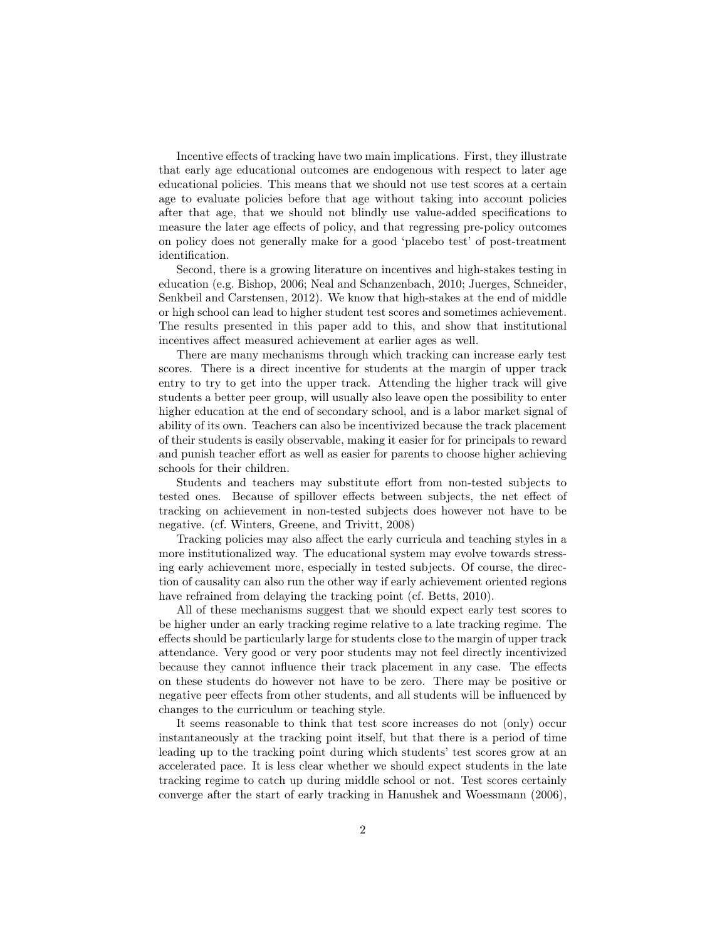Incentive effects of tracking have two main implications. First, they illustrate that early age educational outcomes are endogenous with respect to later age educational policies. This means that we should not use test scores at a certain age to evaluate policies before that age without taking into account policies after that age, that we should not blindly use value-added specifications to measure the later age effects of policy, and that regressing pre-policy outcomes on policy does not generally make for a good 'placebo test' of post-treatment identification.

Second, there is a growing literature on incentives and high-stakes testing in education (e.g. Bishop, 2006; Neal and Schanzenbach, 2010; Juerges, Schneider, Senkbeil and Carstensen, 2012). We know that high-stakes at the end of middle or high school can lead to higher student test scores and sometimes achievement. The results presented in this paper add to this, and show that institutional incentives affect measured achievement at earlier ages as well.

There are many mechanisms through which tracking can increase early test scores. There is a direct incentive for students at the margin of upper track entry to try to get into the upper track. Attending the higher track will give students a better peer group, will usually also leave open the possibility to enter higher education at the end of secondary school, and is a labor market signal of ability of its own. Teachers can also be incentivized because the track placement of their students is easily observable, making it easier for for principals to reward and punish teacher effort as well as easier for parents to choose higher achieving schools for their children.

Students and teachers may substitute effort from non-tested subjects to tested ones. Because of spillover effects between subjects, the net effect of tracking on achievement in non-tested subjects does however not have to be negative. (cf. Winters, Greene, and Trivitt, 2008)

Tracking policies may also affect the early curricula and teaching styles in a more institutionalized way. The educational system may evolve towards stressing early achievement more, especially in tested subjects. Of course, the direction of causality can also run the other way if early achievement oriented regions have refrained from delaying the tracking point (cf. Betts, 2010).

All of these mechanisms suggest that we should expect early test scores to be higher under an early tracking regime relative to a late tracking regime. The effects should be particularly large for students close to the margin of upper track attendance. Very good or very poor students may not feel directly incentivized because they cannot influence their track placement in any case. The effects on these students do however not have to be zero. There may be positive or negative peer effects from other students, and all students will be influenced by changes to the curriculum or teaching style.

It seems reasonable to think that test score increases do not (only) occur instantaneously at the tracking point itself, but that there is a period of time leading up to the tracking point during which students' test scores grow at an accelerated pace. It is less clear whether we should expect students in the late tracking regime to catch up during middle school or not. Test scores certainly converge after the start of early tracking in Hanushek and Woessmann (2006),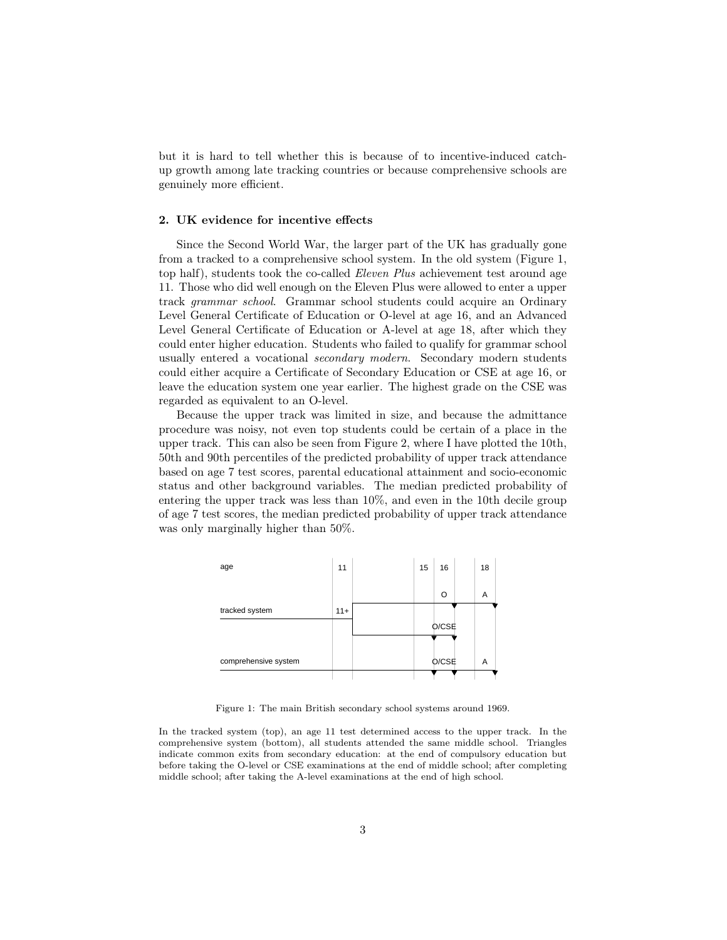but it is hard to tell whether this is because of to incentive-induced catchup growth among late tracking countries or because comprehensive schools are genuinely more efficient.

#### 2. UK evidence for incentive effects

Since the Second World War, the larger part of the UK has gradually gone from a tracked to a comprehensive school system. In the old system (Figure 1, top half), students took the co-called Eleven Plus achievement test around age 11. Those who did well enough on the Eleven Plus were allowed to enter a upper track grammar school. Grammar school students could acquire an Ordinary Level General Certificate of Education or O-level at age 16, and an Advanced Level General Certificate of Education or A-level at age 18, after which they could enter higher education. Students who failed to qualify for grammar school usually entered a vocational secondary modern. Secondary modern students could either acquire a Certificate of Secondary Education or CSE at age 16, or leave the education system one year earlier. The highest grade on the CSE was regarded as equivalent to an O-level.

Because the upper track was limited in size, and because the admittance procedure was noisy, not even top students could be certain of a place in the upper track. This can also be seen from Figure 2, where I have plotted the 10th, 50th and 90th percentiles of the predicted probability of upper track attendance based on age 7 test scores, parental educational attainment and socio-economic status and other background variables. The median predicted probability of entering the upper track was less than 10%, and even in the 10th decile group of age 7 test scores, the median predicted probability of upper track attendance was only marginally higher than 50%.



Figure 1: The main British secondary school systems around 1969.

In the tracked system (top), an age 11 test determined access to the upper track. In the comprehensive system (bottom), all students attended the same middle school. Triangles indicate common exits from secondary education: at the end of compulsory education but before taking the O-level or CSE examinations at the end of middle school; after completing middle school; after taking the A-level examinations at the end of high school.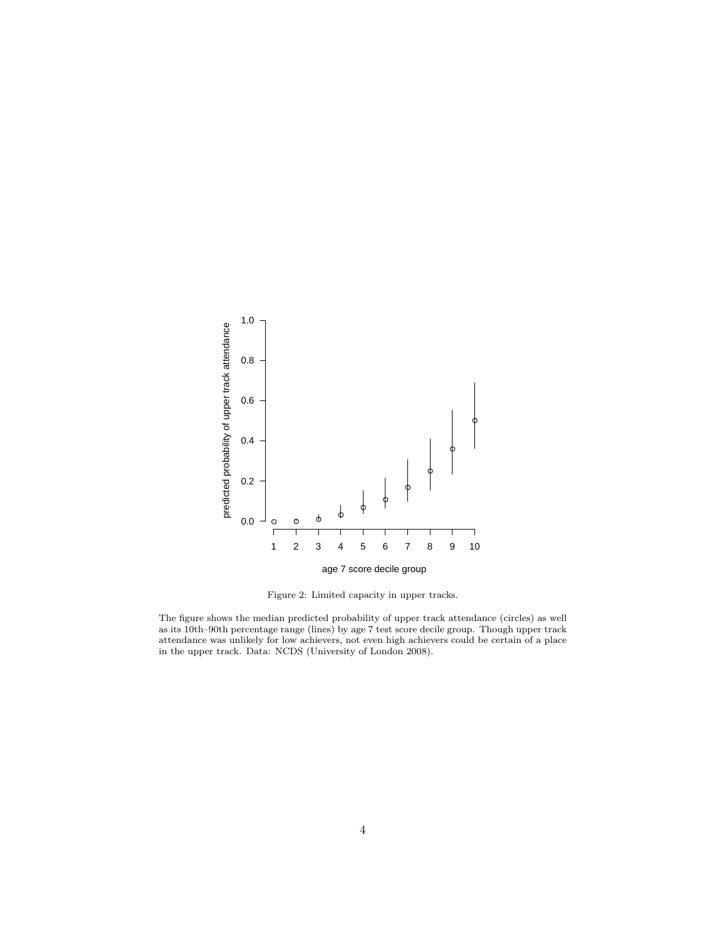

Figure 2: Limited capacity in upper tracks.

The figure shows the median predicted probability of upper track attendance (circles) as well as its 10th–90th percentage range (lines) by age 7 test score decile group. Though upper track attendance was unlikely for low achievers, not even high achievers could be certain of a place in the upper track. Data: NCDS (University of London 2008).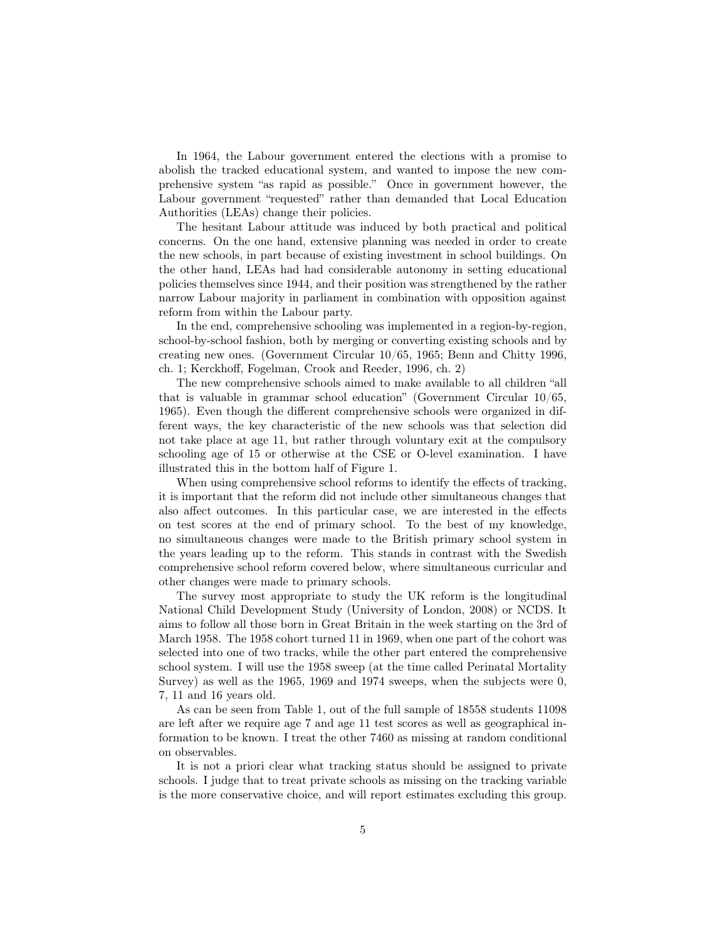In 1964, the Labour government entered the elections with a promise to abolish the tracked educational system, and wanted to impose the new comprehensive system "as rapid as possible." Once in government however, the Labour government "requested" rather than demanded that Local Education Authorities (LEAs) change their policies.

The hesitant Labour attitude was induced by both practical and political concerns. On the one hand, extensive planning was needed in order to create the new schools, in part because of existing investment in school buildings. On the other hand, LEAs had had considerable autonomy in setting educational policies themselves since 1944, and their position was strengthened by the rather narrow Labour majority in parliament in combination with opposition against reform from within the Labour party.

In the end, comprehensive schooling was implemented in a region-by-region, school-by-school fashion, both by merging or converting existing schools and by creating new ones. (Government Circular 10/65, 1965; Benn and Chitty 1996, ch. 1; Kerckhoff, Fogelman, Crook and Reeder, 1996, ch. 2)

The new comprehensive schools aimed to make available to all children "all that is valuable in grammar school education" (Government Circular 10/65, 1965). Even though the different comprehensive schools were organized in different ways, the key characteristic of the new schools was that selection did not take place at age 11, but rather through voluntary exit at the compulsory schooling age of 15 or otherwise at the CSE or O-level examination. I have illustrated this in the bottom half of Figure 1.

When using comprehensive school reforms to identify the effects of tracking, it is important that the reform did not include other simultaneous changes that also affect outcomes. In this particular case, we are interested in the effects on test scores at the end of primary school. To the best of my knowledge, no simultaneous changes were made to the British primary school system in the years leading up to the reform. This stands in contrast with the Swedish comprehensive school reform covered below, where simultaneous curricular and other changes were made to primary schools.

The survey most appropriate to study the UK reform is the longitudinal National Child Development Study (University of London, 2008) or NCDS. It aims to follow all those born in Great Britain in the week starting on the 3rd of March 1958. The 1958 cohort turned 11 in 1969, when one part of the cohort was selected into one of two tracks, while the other part entered the comprehensive school system. I will use the 1958 sweep (at the time called Perinatal Mortality Survey) as well as the 1965, 1969 and 1974 sweeps, when the subjects were 0, 7, 11 and 16 years old.

As can be seen from Table 1, out of the full sample of 18558 students 11098 are left after we require age 7 and age 11 test scores as well as geographical information to be known. I treat the other 7460 as missing at random conditional on observables.

It is not a priori clear what tracking status should be assigned to private schools. I judge that to treat private schools as missing on the tracking variable is the more conservative choice, and will report estimates excluding this group.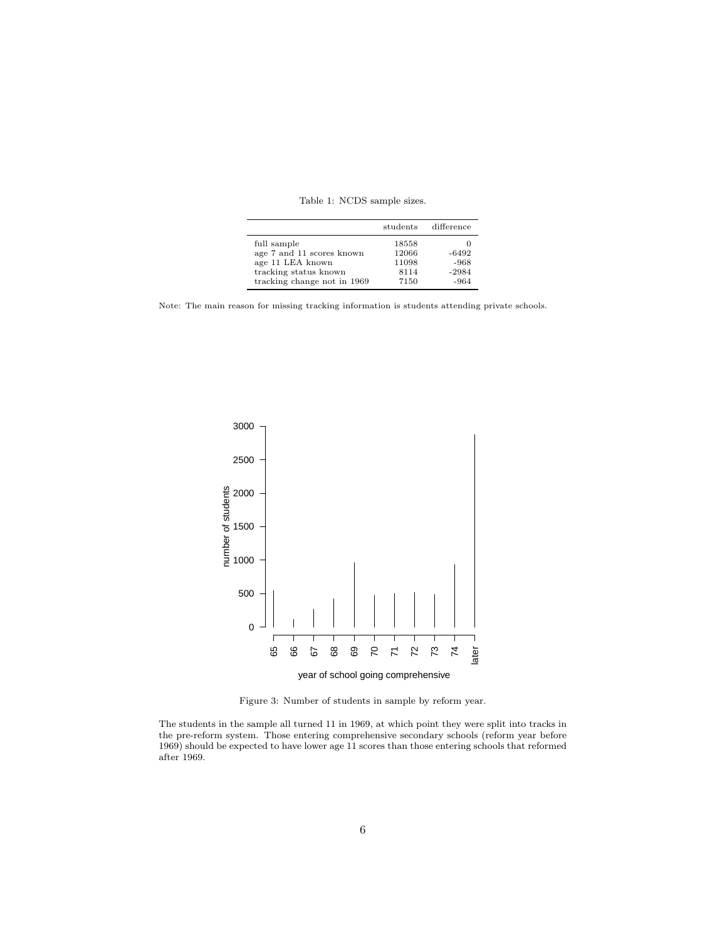|                             | students | difference |
|-----------------------------|----------|------------|
| full sample                 | 18558    | $\theta$   |
| age 7 and 11 scores known   | 12066    | $-6492$    |
| age 11 LEA known            | 11098    | $-968$     |
| tracking status known       | 8114     | $-2984$    |
| tracking change not in 1969 | 7150     | $-964$     |

Table 1: NCDS sample sizes.



Figure 3: Number of students in sample by reform year.

The students in the sample all turned 11 in 1969, at which point they were split into tracks in the pre-reform system. Those entering comprehensive secondary schools (reform year before 1969) should be expected to have lower age 11 scores than those entering schools that reformed after 1969.

Note: The main reason for missing tracking information is students attending private schools.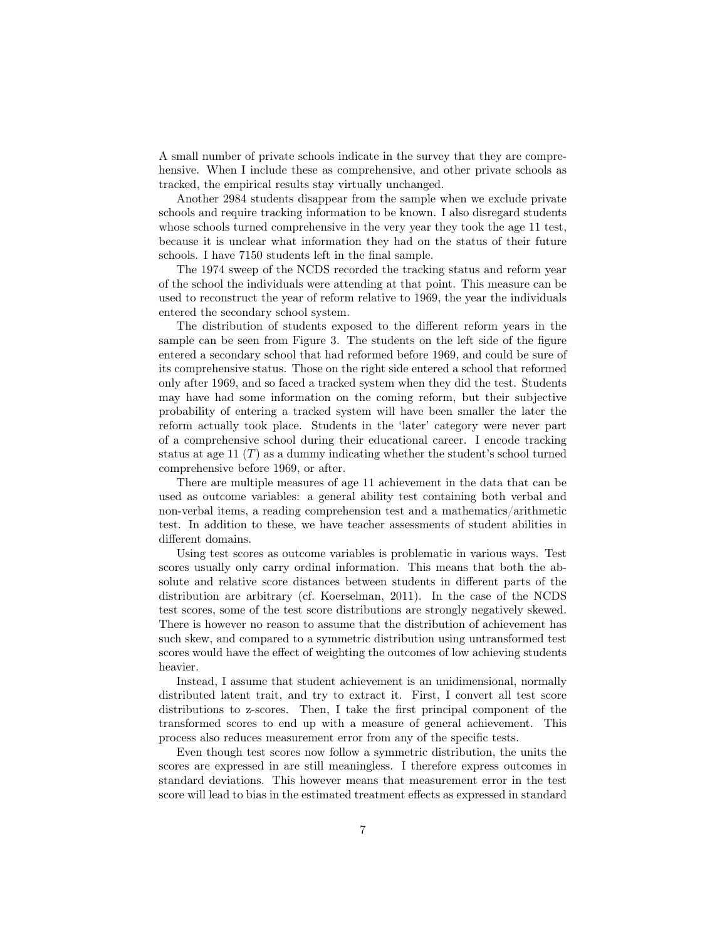A small number of private schools indicate in the survey that they are comprehensive. When I include these as comprehensive, and other private schools as tracked, the empirical results stay virtually unchanged.

Another 2984 students disappear from the sample when we exclude private schools and require tracking information to be known. I also disregard students whose schools turned comprehensive in the very year they took the age 11 test, because it is unclear what information they had on the status of their future schools. I have 7150 students left in the final sample.

The 1974 sweep of the NCDS recorded the tracking status and reform year of the school the individuals were attending at that point. This measure can be used to reconstruct the year of reform relative to 1969, the year the individuals entered the secondary school system.

The distribution of students exposed to the different reform years in the sample can be seen from Figure 3. The students on the left side of the figure entered a secondary school that had reformed before 1969, and could be sure of its comprehensive status. Those on the right side entered a school that reformed only after 1969, and so faced a tracked system when they did the test. Students may have had some information on the coming reform, but their subjective probability of entering a tracked system will have been smaller the later the reform actually took place. Students in the 'later' category were never part of a comprehensive school during their educational career. I encode tracking status at age 11  $(T)$  as a dummy indicating whether the student's school turned comprehensive before 1969, or after.

There are multiple measures of age 11 achievement in the data that can be used as outcome variables: a general ability test containing both verbal and non-verbal items, a reading comprehension test and a mathematics/arithmetic test. In addition to these, we have teacher assessments of student abilities in different domains.

Using test scores as outcome variables is problematic in various ways. Test scores usually only carry ordinal information. This means that both the absolute and relative score distances between students in different parts of the distribution are arbitrary (cf. Koerselman, 2011). In the case of the NCDS test scores, some of the test score distributions are strongly negatively skewed. There is however no reason to assume that the distribution of achievement has such skew, and compared to a symmetric distribution using untransformed test scores would have the effect of weighting the outcomes of low achieving students heavier.

Instead, I assume that student achievement is an unidimensional, normally distributed latent trait, and try to extract it. First, I convert all test score distributions to z-scores. Then, I take the first principal component of the transformed scores to end up with a measure of general achievement. This process also reduces measurement error from any of the specific tests.

Even though test scores now follow a symmetric distribution, the units the scores are expressed in are still meaningless. I therefore express outcomes in standard deviations. This however means that measurement error in the test score will lead to bias in the estimated treatment effects as expressed in standard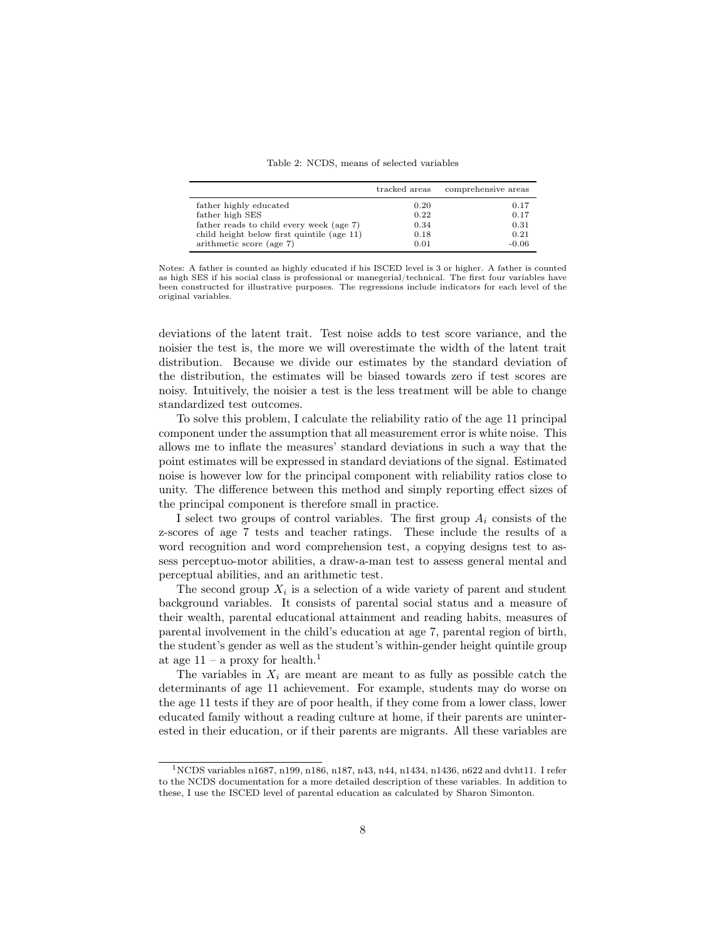Table 2: NCDS, means of selected variables

|                                            | tracked areas | comprehensive areas |
|--------------------------------------------|---------------|---------------------|
| father highly educated                     | 0.20          | 0.17                |
| father high SES                            | 0.22          | 0.17                |
| father reads to child every week (age 7)   | 0.34          | 0.31                |
| child height below first quintile (age 11) | 0.18          | 0.21                |
| arithmetic score (age 7)                   | 0.01          | $-0.06$             |

Notes: A father is counted as highly educated if his ISCED level is 3 or higher. A father is counted as high SES if his social class is professional or manegerial/technical. The first four variables have been constructed for illustrative purposes. The regressions include indicators for each level of the original variables.

deviations of the latent trait. Test noise adds to test score variance, and the noisier the test is, the more we will overestimate the width of the latent trait distribution. Because we divide our estimates by the standard deviation of the distribution, the estimates will be biased towards zero if test scores are noisy. Intuitively, the noisier a test is the less treatment will be able to change standardized test outcomes.

To solve this problem, I calculate the reliability ratio of the age 11 principal component under the assumption that all measurement error is white noise. This allows me to inflate the measures' standard deviations in such a way that the point estimates will be expressed in standard deviations of the signal. Estimated noise is however low for the principal component with reliability ratios close to unity. The difference between this method and simply reporting effect sizes of the principal component is therefore small in practice.

I select two groups of control variables. The first group  $A_i$  consists of the z-scores of age 7 tests and teacher ratings. These include the results of a word recognition and word comprehension test, a copying designs test to assess perceptuo-motor abilities, a draw-a-man test to assess general mental and perceptual abilities, and an arithmetic test.

The second group  $X_i$  is a selection of a wide variety of parent and student background variables. It consists of parental social status and a measure of their wealth, parental educational attainment and reading habits, measures of parental involvement in the child's education at age 7, parental region of birth, the student's gender as well as the student's within-gender height quintile group at age  $11 - a$  proxy for health.<sup>1</sup>

The variables in  $X_i$  are meant are meant to as fully as possible catch the determinants of age 11 achievement. For example, students may do worse on the age 11 tests if they are of poor health, if they come from a lower class, lower educated family without a reading culture at home, if their parents are uninterested in their education, or if their parents are migrants. All these variables are

<sup>1</sup>NCDS variables n1687, n199, n186, n187, n43, n44, n1434, n1436, n622 and dvht11. I refer to the NCDS documentation for a more detailed description of these variables. In addition to these, I use the ISCED level of parental education as calculated by Sharon Simonton.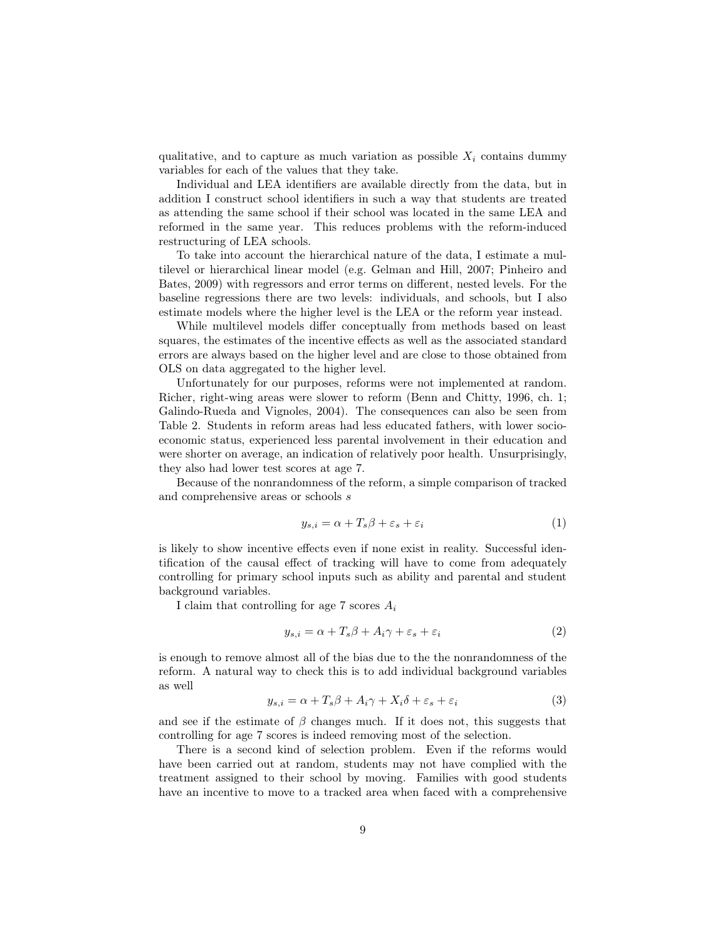qualitative, and to capture as much variation as possible  $X_i$  contains dummy variables for each of the values that they take.

Individual and LEA identifiers are available directly from the data, but in addition I construct school identifiers in such a way that students are treated as attending the same school if their school was located in the same LEA and reformed in the same year. This reduces problems with the reform-induced restructuring of LEA schools.

To take into account the hierarchical nature of the data, I estimate a multilevel or hierarchical linear model (e.g. Gelman and Hill, 2007; Pinheiro and Bates, 2009) with regressors and error terms on different, nested levels. For the baseline regressions there are two levels: individuals, and schools, but I also estimate models where the higher level is the LEA or the reform year instead.

While multilevel models differ conceptually from methods based on least squares, the estimates of the incentive effects as well as the associated standard errors are always based on the higher level and are close to those obtained from OLS on data aggregated to the higher level.

Unfortunately for our purposes, reforms were not implemented at random. Richer, right-wing areas were slower to reform (Benn and Chitty, 1996, ch. 1; Galindo-Rueda and Vignoles, 2004). The consequences can also be seen from Table 2. Students in reform areas had less educated fathers, with lower socioeconomic status, experienced less parental involvement in their education and were shorter on average, an indication of relatively poor health. Unsurprisingly, they also had lower test scores at age 7.

Because of the nonrandomness of the reform, a simple comparison of tracked and comprehensive areas or schools s

$$
y_{s,i} = \alpha + T_s \beta + \varepsilon_s + \varepsilon_i \tag{1}
$$

is likely to show incentive effects even if none exist in reality. Successful identification of the causal effect of tracking will have to come from adequately controlling for primary school inputs such as ability and parental and student background variables.

I claim that controlling for age 7 scores  $A_i$ 

$$
y_{s,i} = \alpha + T_s \beta + A_i \gamma + \varepsilon_s + \varepsilon_i \tag{2}
$$

is enough to remove almost all of the bias due to the the nonrandomness of the reform. A natural way to check this is to add individual background variables as well

$$
y_{s,i} = \alpha + T_s \beta + A_i \gamma + X_i \delta + \varepsilon_s + \varepsilon_i \tag{3}
$$

and see if the estimate of  $\beta$  changes much. If it does not, this suggests that controlling for age 7 scores is indeed removing most of the selection.

There is a second kind of selection problem. Even if the reforms would have been carried out at random, students may not have complied with the treatment assigned to their school by moving. Families with good students have an incentive to move to a tracked area when faced with a comprehensive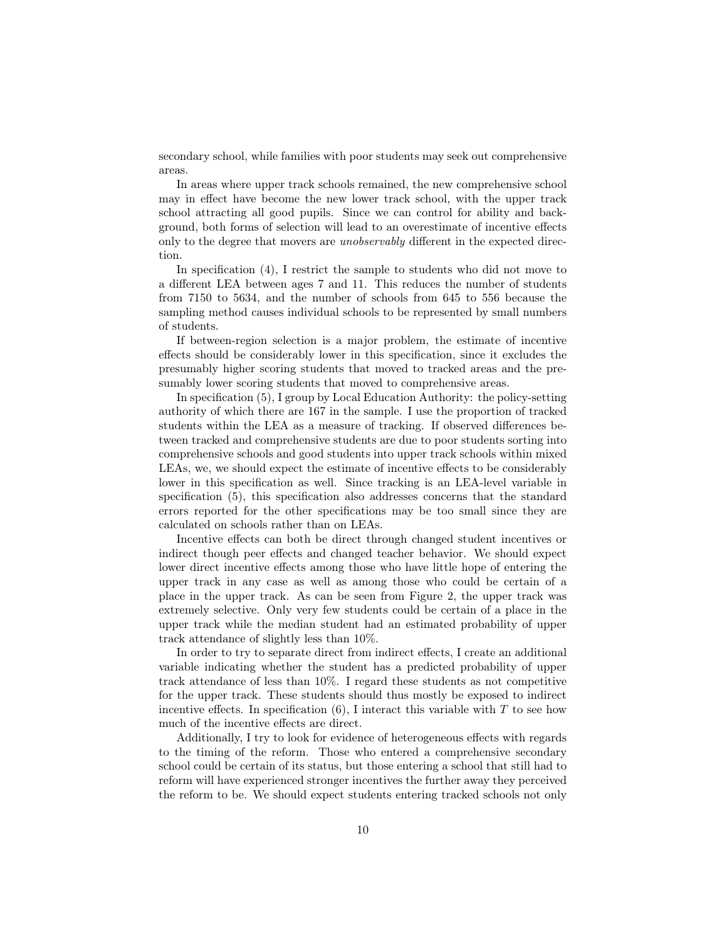secondary school, while families with poor students may seek out comprehensive areas.

In areas where upper track schools remained, the new comprehensive school may in effect have become the new lower track school, with the upper track school attracting all good pupils. Since we can control for ability and background, both forms of selection will lead to an overestimate of incentive effects only to the degree that movers are unobservably different in the expected direction.

In specification (4), I restrict the sample to students who did not move to a different LEA between ages 7 and 11. This reduces the number of students from 7150 to 5634, and the number of schools from 645 to 556 because the sampling method causes individual schools to be represented by small numbers of students.

If between-region selection is a major problem, the estimate of incentive effects should be considerably lower in this specification, since it excludes the presumably higher scoring students that moved to tracked areas and the presumably lower scoring students that moved to comprehensive areas.

In specification (5), I group by Local Education Authority: the policy-setting authority of which there are 167 in the sample. I use the proportion of tracked students within the LEA as a measure of tracking. If observed differences between tracked and comprehensive students are due to poor students sorting into comprehensive schools and good students into upper track schools within mixed LEAs, we, we should expect the estimate of incentive effects to be considerably lower in this specification as well. Since tracking is an LEA-level variable in specification (5), this specification also addresses concerns that the standard errors reported for the other specifications may be too small since they are calculated on schools rather than on LEAs.

Incentive effects can both be direct through changed student incentives or indirect though peer effects and changed teacher behavior. We should expect lower direct incentive effects among those who have little hope of entering the upper track in any case as well as among those who could be certain of a place in the upper track. As can be seen from Figure 2, the upper track was extremely selective. Only very few students could be certain of a place in the upper track while the median student had an estimated probability of upper track attendance of slightly less than 10%.

In order to try to separate direct from indirect effects, I create an additional variable indicating whether the student has a predicted probability of upper track attendance of less than 10%. I regard these students as not competitive for the upper track. These students should thus mostly be exposed to indirect incentive effects. In specification  $(6)$ , I interact this variable with T to see how much of the incentive effects are direct.

Additionally, I try to look for evidence of heterogeneous effects with regards to the timing of the reform. Those who entered a comprehensive secondary school could be certain of its status, but those entering a school that still had to reform will have experienced stronger incentives the further away they perceived the reform to be. We should expect students entering tracked schools not only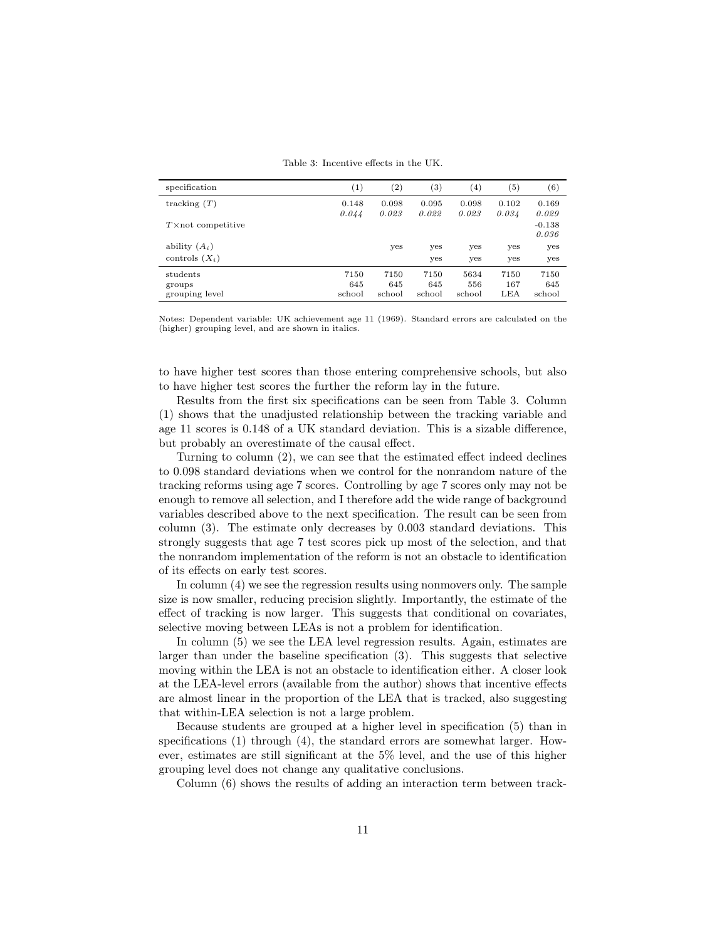Table 3: Incentive effects in the UK.

| specification                        | (1)                   | $\left( 2\right)$     | $\left( 3\right)$     | $^{(4)}$              | $\left(5\right)$   | (6)                   |
|--------------------------------------|-----------------------|-----------------------|-----------------------|-----------------------|--------------------|-----------------------|
| tracking $(T)$                       | 0.148<br>0.044        | 0.098<br>0.023        | 0.095<br>0.022        | 0.098<br>0.023        | 0.102<br>0.034     | 0.169<br>0.029        |
| $T \times \text{not competitive}$    |                       |                       |                       |                       |                    | $-0.138$<br>0.036     |
| ability $(A_i)$                      |                       | yes                   | yes                   | yes                   | yes                | yes                   |
| controls $(X_i)$                     |                       |                       | yes                   | yes                   | yes                | yes                   |
| students<br>groups<br>grouping level | 7150<br>645<br>school | 7150<br>645<br>school | 7150<br>645<br>school | 5634<br>556<br>school | 7150<br>167<br>LEA | 7150<br>645<br>school |

Notes: Dependent variable: UK achievement age 11 (1969). Standard errors are calculated on the (higher) grouping level, and are shown in italics.

to have higher test scores than those entering comprehensive schools, but also to have higher test scores the further the reform lay in the future.

Results from the first six specifications can be seen from Table 3. Column (1) shows that the unadjusted relationship between the tracking variable and age 11 scores is 0.148 of a UK standard deviation. This is a sizable difference, but probably an overestimate of the causal effect.

Turning to column (2), we can see that the estimated effect indeed declines to 0.098 standard deviations when we control for the nonrandom nature of the tracking reforms using age 7 scores. Controlling by age 7 scores only may not be enough to remove all selection, and I therefore add the wide range of background variables described above to the next specification. The result can be seen from column (3). The estimate only decreases by 0.003 standard deviations. This strongly suggests that age 7 test scores pick up most of the selection, and that the nonrandom implementation of the reform is not an obstacle to identification of its effects on early test scores.

In column (4) we see the regression results using nonmovers only. The sample size is now smaller, reducing precision slightly. Importantly, the estimate of the effect of tracking is now larger. This suggests that conditional on covariates, selective moving between LEAs is not a problem for identification.

In column (5) we see the LEA level regression results. Again, estimates are larger than under the baseline specification (3). This suggests that selective moving within the LEA is not an obstacle to identification either. A closer look at the LEA-level errors (available from the author) shows that incentive effects are almost linear in the proportion of the LEA that is tracked, also suggesting that within-LEA selection is not a large problem.

Because students are grouped at a higher level in specification (5) than in specifications (1) through (4), the standard errors are somewhat larger. However, estimates are still significant at the 5% level, and the use of this higher grouping level does not change any qualitative conclusions.

Column (6) shows the results of adding an interaction term between track-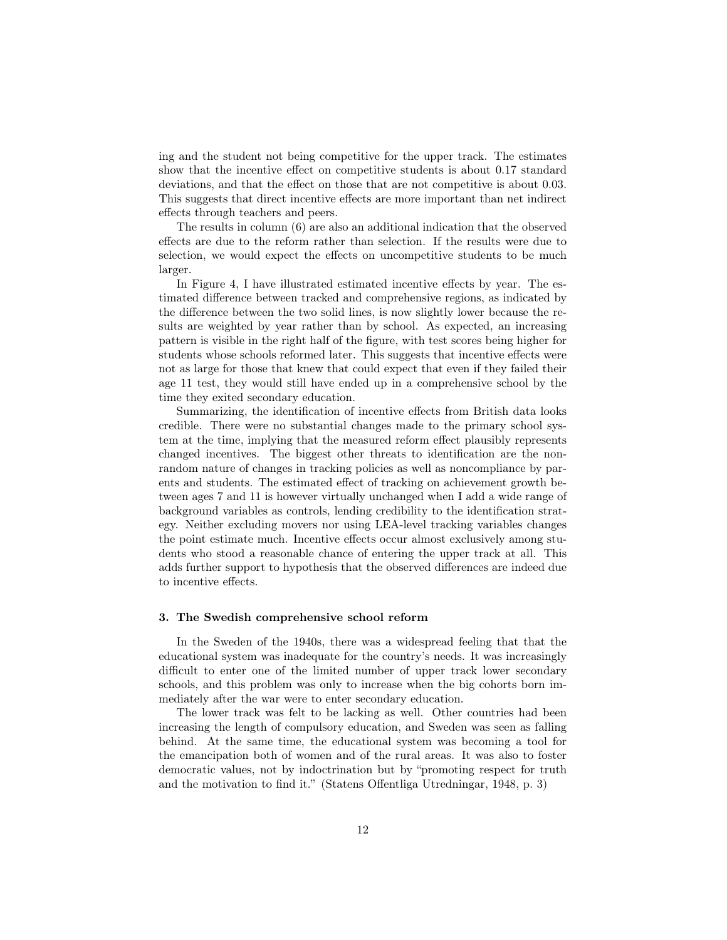ing and the student not being competitive for the upper track. The estimates show that the incentive effect on competitive students is about 0.17 standard deviations, and that the effect on those that are not competitive is about 0.03. This suggests that direct incentive effects are more important than net indirect effects through teachers and peers.

The results in column (6) are also an additional indication that the observed effects are due to the reform rather than selection. If the results were due to selection, we would expect the effects on uncompetitive students to be much larger.

In Figure 4, I have illustrated estimated incentive effects by year. The estimated difference between tracked and comprehensive regions, as indicated by the difference between the two solid lines, is now slightly lower because the results are weighted by year rather than by school. As expected, an increasing pattern is visible in the right half of the figure, with test scores being higher for students whose schools reformed later. This suggests that incentive effects were not as large for those that knew that could expect that even if they failed their age 11 test, they would still have ended up in a comprehensive school by the time they exited secondary education.

Summarizing, the identification of incentive effects from British data looks credible. There were no substantial changes made to the primary school system at the time, implying that the measured reform effect plausibly represents changed incentives. The biggest other threats to identification are the nonrandom nature of changes in tracking policies as well as noncompliance by parents and students. The estimated effect of tracking on achievement growth between ages 7 and 11 is however virtually unchanged when I add a wide range of background variables as controls, lending credibility to the identification strategy. Neither excluding movers nor using LEA-level tracking variables changes the point estimate much. Incentive effects occur almost exclusively among students who stood a reasonable chance of entering the upper track at all. This adds further support to hypothesis that the observed differences are indeed due to incentive effects.

#### 3. The Swedish comprehensive school reform

In the Sweden of the 1940s, there was a widespread feeling that that the educational system was inadequate for the country's needs. It was increasingly difficult to enter one of the limited number of upper track lower secondary schools, and this problem was only to increase when the big cohorts born immediately after the war were to enter secondary education.

The lower track was felt to be lacking as well. Other countries had been increasing the length of compulsory education, and Sweden was seen as falling behind. At the same time, the educational system was becoming a tool for the emancipation both of women and of the rural areas. It was also to foster democratic values, not by indoctrination but by "promoting respect for truth and the motivation to find it." (Statens Offentliga Utredningar, 1948, p. 3)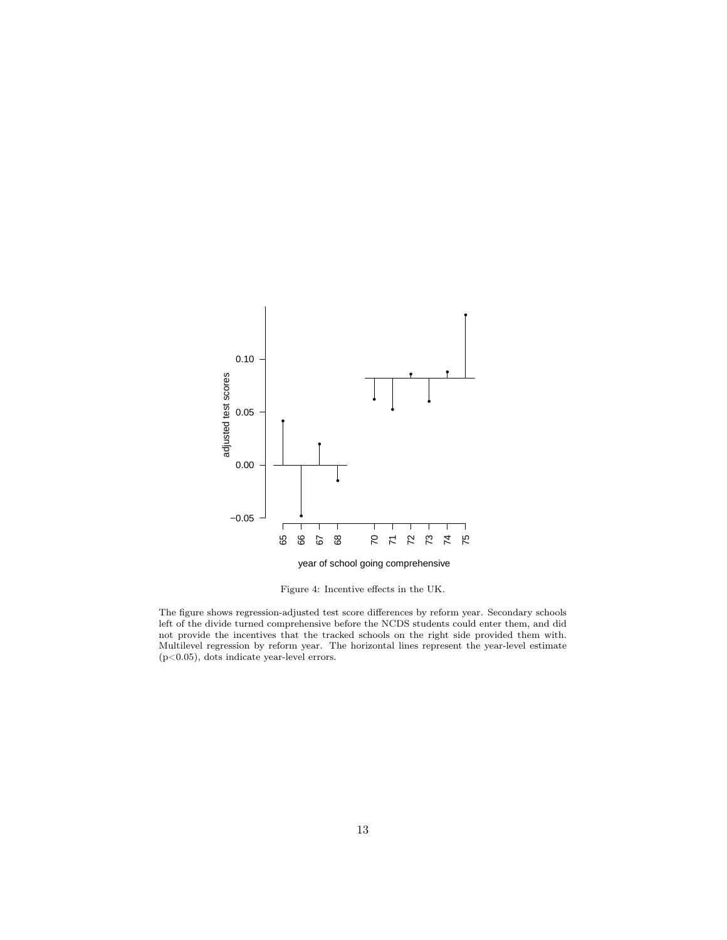

Figure 4: Incentive effects in the UK.

The figure shows regression-adjusted test score differences by reform year. Secondary schools left of the divide turned comprehensive before the NCDS students could enter them, and did not provide the incentives that the tracked schools on the right side provided them with. Multilevel regression by reform year. The horizontal lines represent the year-level estimate (p<0.05), dots indicate year-level errors.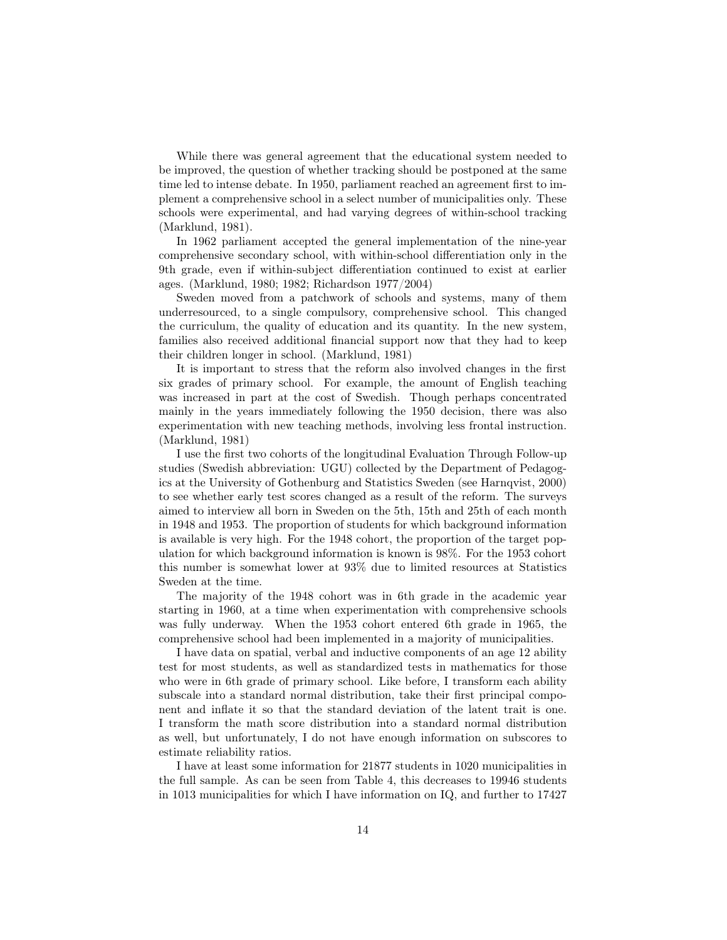While there was general agreement that the educational system needed to be improved, the question of whether tracking should be postponed at the same time led to intense debate. In 1950, parliament reached an agreement first to implement a comprehensive school in a select number of municipalities only. These schools were experimental, and had varying degrees of within-school tracking (Marklund, 1981).

In 1962 parliament accepted the general implementation of the nine-year comprehensive secondary school, with within-school differentiation only in the 9th grade, even if within-subject differentiation continued to exist at earlier ages. (Marklund, 1980; 1982; Richardson 1977/2004)

Sweden moved from a patchwork of schools and systems, many of them underresourced, to a single compulsory, comprehensive school. This changed the curriculum, the quality of education and its quantity. In the new system, families also received additional financial support now that they had to keep their children longer in school. (Marklund, 1981)

It is important to stress that the reform also involved changes in the first six grades of primary school. For example, the amount of English teaching was increased in part at the cost of Swedish. Though perhaps concentrated mainly in the years immediately following the 1950 decision, there was also experimentation with new teaching methods, involving less frontal instruction. (Marklund, 1981)

I use the first two cohorts of the longitudinal Evaluation Through Follow-up studies (Swedish abbreviation: UGU) collected by the Department of Pedagogics at the University of Gothenburg and Statistics Sweden (see Harnqvist, 2000) to see whether early test scores changed as a result of the reform. The surveys aimed to interview all born in Sweden on the 5th, 15th and 25th of each month in 1948 and 1953. The proportion of students for which background information is available is very high. For the 1948 cohort, the proportion of the target population for which background information is known is 98%. For the 1953 cohort this number is somewhat lower at 93% due to limited resources at Statistics Sweden at the time.

The majority of the 1948 cohort was in 6th grade in the academic year starting in 1960, at a time when experimentation with comprehensive schools was fully underway. When the 1953 cohort entered 6th grade in 1965, the comprehensive school had been implemented in a majority of municipalities.

I have data on spatial, verbal and inductive components of an age 12 ability test for most students, as well as standardized tests in mathematics for those who were in 6th grade of primary school. Like before, I transform each ability subscale into a standard normal distribution, take their first principal component and inflate it so that the standard deviation of the latent trait is one. I transform the math score distribution into a standard normal distribution as well, but unfortunately, I do not have enough information on subscores to estimate reliability ratios.

I have at least some information for 21877 students in 1020 municipalities in the full sample. As can be seen from Table 4, this decreases to 19946 students in 1013 municipalities for which I have information on IQ, and further to 17427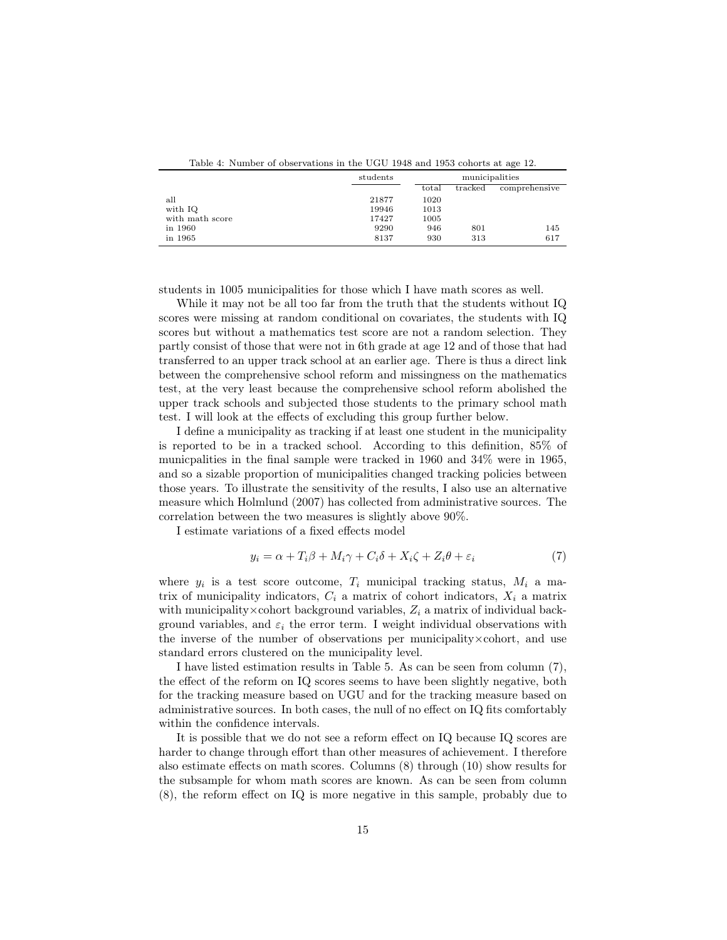| Table 4: Number of observations in the UGU 1948 and 1953 cohorts at age 12. |  |
|-----------------------------------------------------------------------------|--|
|-----------------------------------------------------------------------------|--|

|                 | students |       | municipalities |               |  |
|-----------------|----------|-------|----------------|---------------|--|
|                 |          | total | tracked        | comprehensive |  |
| all             | 21877    | 1020  |                |               |  |
| with IQ         | 19946    | 1013  |                |               |  |
| with math score | 17427    | 1005  |                |               |  |
| in 1960         | 9290     | 946   | 801            | 145           |  |
| in 1965         | 8137     | 930   | 313            | 617           |  |

students in 1005 municipalities for those which I have math scores as well.

While it may not be all too far from the truth that the students without IQ scores were missing at random conditional on covariates, the students with IQ scores but without a mathematics test score are not a random selection. They partly consist of those that were not in 6th grade at age 12 and of those that had transferred to an upper track school at an earlier age. There is thus a direct link between the comprehensive school reform and missingness on the mathematics test, at the very least because the comprehensive school reform abolished the upper track schools and subjected those students to the primary school math test. I will look at the effects of excluding this group further below.

I define a municipality as tracking if at least one student in the municipality is reported to be in a tracked school. According to this definition, 85% of municpalities in the final sample were tracked in 1960 and 34% were in 1965, and so a sizable proportion of municipalities changed tracking policies between those years. To illustrate the sensitivity of the results, I also use an alternative measure which Holmlund (2007) has collected from administrative sources. The correlation between the two measures is slightly above 90%.

I estimate variations of a fixed effects model

$$
y_i = \alpha + T_i\beta + M_i\gamma + C_i\delta + X_i\zeta + Z_i\theta + \varepsilon_i
$$
\n<sup>(7)</sup>

where  $y_i$  is a test score outcome,  $T_i$  municipal tracking status,  $M_i$  a matrix of municipality indicators,  $C_i$  a matrix of cohort indicators,  $X_i$  a matrix with municipality×cohort background variables,  $Z_i$  a matrix of individual background variables, and  $\varepsilon_i$  the error term. I weight individual observations with the inverse of the number of observations per municipality×cohort, and use standard errors clustered on the municipality level.

I have listed estimation results in Table 5. As can be seen from column (7), the effect of the reform on IQ scores seems to have been slightly negative, both for the tracking measure based on UGU and for the tracking measure based on administrative sources. In both cases, the null of no effect on IQ fits comfortably within the confidence intervals.

It is possible that we do not see a reform effect on IQ because IQ scores are harder to change through effort than other measures of achievement. I therefore also estimate effects on math scores. Columns (8) through (10) show results for the subsample for whom math scores are known. As can be seen from column (8), the reform effect on IQ is more negative in this sample, probably due to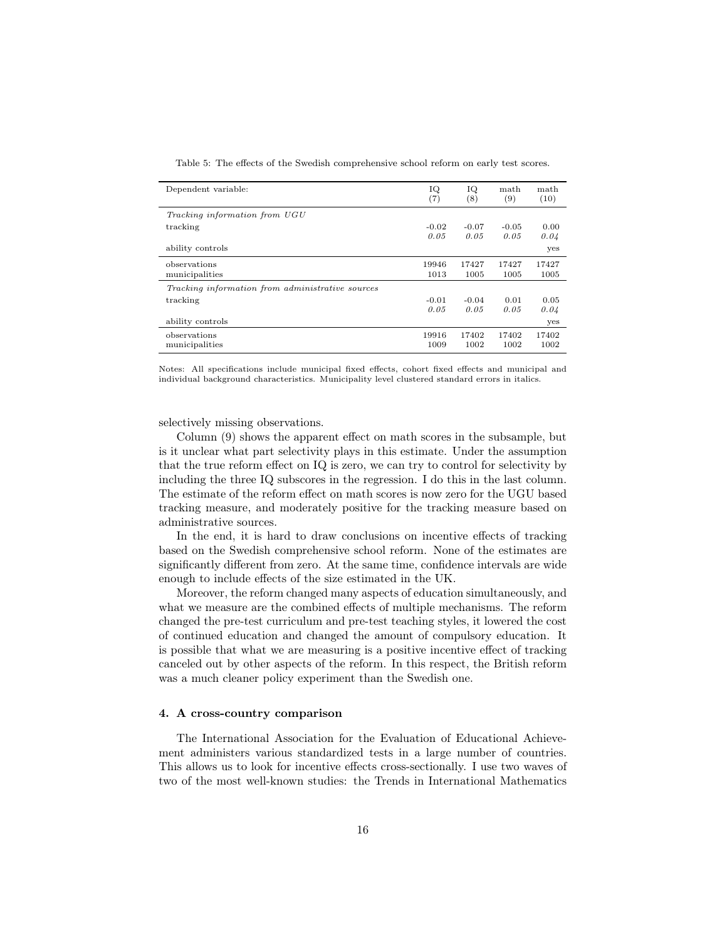| Dependent variable:                              | IQ.<br>(7) | IQ<br>(8) | math<br>(9) | math<br>(10) |
|--------------------------------------------------|------------|-----------|-------------|--------------|
|                                                  |            |           |             |              |
| Tracking information from UGU                    |            |           |             |              |
| tracking                                         | $-0.02$    | $-0.07$   | $-0.05$     | 0.00         |
|                                                  | 0.05       | 0.05      | 0.05        | 0.04         |
| ability controls                                 |            |           |             | yes          |
| observations                                     | 19946      | 17427     | 17427       | 17427        |
| municipalities                                   | 1013       | 1005      | 1005        | 1005         |
| Tracking information from administrative sources |            |           |             |              |
| tracking                                         | $-0.01$    | $-0.04$   | 0.01        | 0.05         |
|                                                  | 0.05       | 0.05      | 0.05        | 0.04         |
| ability controls                                 |            |           |             | yes          |
| observations                                     | 19916      | 17402     | 17402       | 17402        |
| municipalities                                   | 1009       | 1002      | 1002        | 1002         |

Table 5: The effects of the Swedish comprehensive school reform on early test scores.

Notes: All specifications include municipal fixed effects, cohort fixed effects and municipal and individual background characteristics. Municipality level clustered standard errors in italics.

selectively missing observations.

Column (9) shows the apparent effect on math scores in the subsample, but is it unclear what part selectivity plays in this estimate. Under the assumption that the true reform effect on IQ is zero, we can try to control for selectivity by including the three IQ subscores in the regression. I do this in the last column. The estimate of the reform effect on math scores is now zero for the UGU based tracking measure, and moderately positive for the tracking measure based on administrative sources.

In the end, it is hard to draw conclusions on incentive effects of tracking based on the Swedish comprehensive school reform. None of the estimates are significantly different from zero. At the same time, confidence intervals are wide enough to include effects of the size estimated in the UK.

Moreover, the reform changed many aspects of education simultaneously, and what we measure are the combined effects of multiple mechanisms. The reform changed the pre-test curriculum and pre-test teaching styles, it lowered the cost of continued education and changed the amount of compulsory education. It is possible that what we are measuring is a positive incentive effect of tracking canceled out by other aspects of the reform. In this respect, the British reform was a much cleaner policy experiment than the Swedish one.

#### 4. A cross-country comparison

The International Association for the Evaluation of Educational Achievement administers various standardized tests in a large number of countries. This allows us to look for incentive effects cross-sectionally. I use two waves of two of the most well-known studies: the Trends in International Mathematics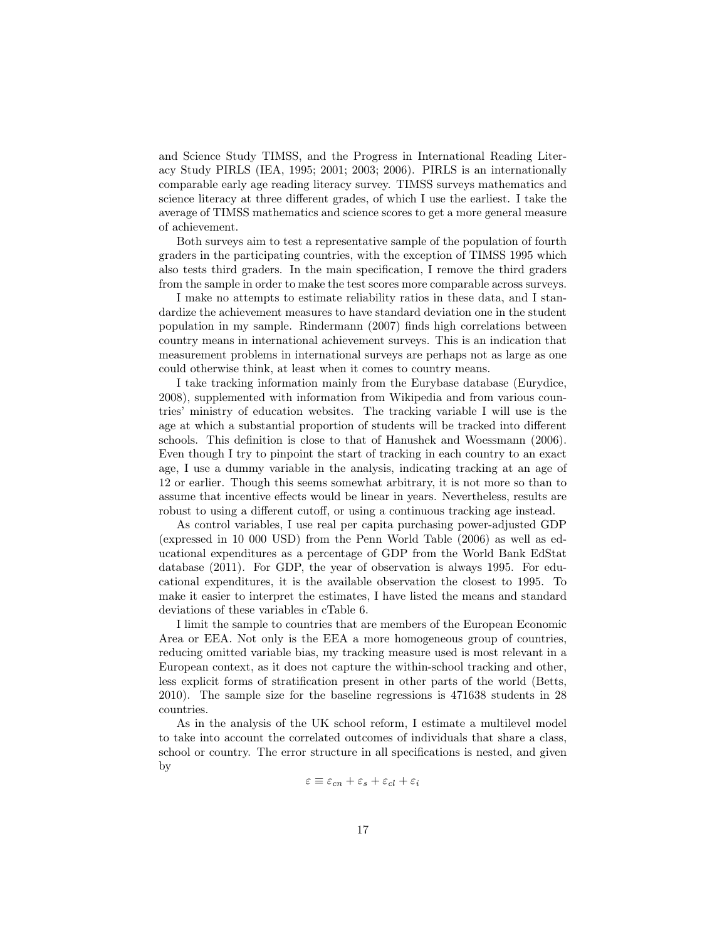and Science Study TIMSS, and the Progress in International Reading Literacy Study PIRLS (IEA, 1995; 2001; 2003; 2006). PIRLS is an internationally comparable early age reading literacy survey. TIMSS surveys mathematics and science literacy at three different grades, of which I use the earliest. I take the average of TIMSS mathematics and science scores to get a more general measure of achievement.

Both surveys aim to test a representative sample of the population of fourth graders in the participating countries, with the exception of TIMSS 1995 which also tests third graders. In the main specification, I remove the third graders from the sample in order to make the test scores more comparable across surveys.

I make no attempts to estimate reliability ratios in these data, and I standardize the achievement measures to have standard deviation one in the student population in my sample. Rindermann (2007) finds high correlations between country means in international achievement surveys. This is an indication that measurement problems in international surveys are perhaps not as large as one could otherwise think, at least when it comes to country means.

I take tracking information mainly from the Eurybase database (Eurydice, 2008), supplemented with information from Wikipedia and from various countries' ministry of education websites. The tracking variable I will use is the age at which a substantial proportion of students will be tracked into different schools. This definition is close to that of Hanushek and Woessmann (2006). Even though I try to pinpoint the start of tracking in each country to an exact age, I use a dummy variable in the analysis, indicating tracking at an age of 12 or earlier. Though this seems somewhat arbitrary, it is not more so than to assume that incentive effects would be linear in years. Nevertheless, results are robust to using a different cutoff, or using a continuous tracking age instead.

As control variables, I use real per capita purchasing power-adjusted GDP (expressed in 10 000 USD) from the Penn World Table (2006) as well as educational expenditures as a percentage of GDP from the World Bank EdStat database (2011). For GDP, the year of observation is always 1995. For educational expenditures, it is the available observation the closest to 1995. To make it easier to interpret the estimates, I have listed the means and standard deviations of these variables in cTable 6.

I limit the sample to countries that are members of the European Economic Area or EEA. Not only is the EEA a more homogeneous group of countries, reducing omitted variable bias, my tracking measure used is most relevant in a European context, as it does not capture the within-school tracking and other, less explicit forms of stratification present in other parts of the world (Betts, 2010). The sample size for the baseline regressions is 471638 students in 28 countries.

As in the analysis of the UK school reform, I estimate a multilevel model to take into account the correlated outcomes of individuals that share a class, school or country. The error structure in all specifications is nested, and given by

$$
\varepsilon \equiv \varepsilon_{cn} + \varepsilon_s + \varepsilon_{cl} + \varepsilon_i
$$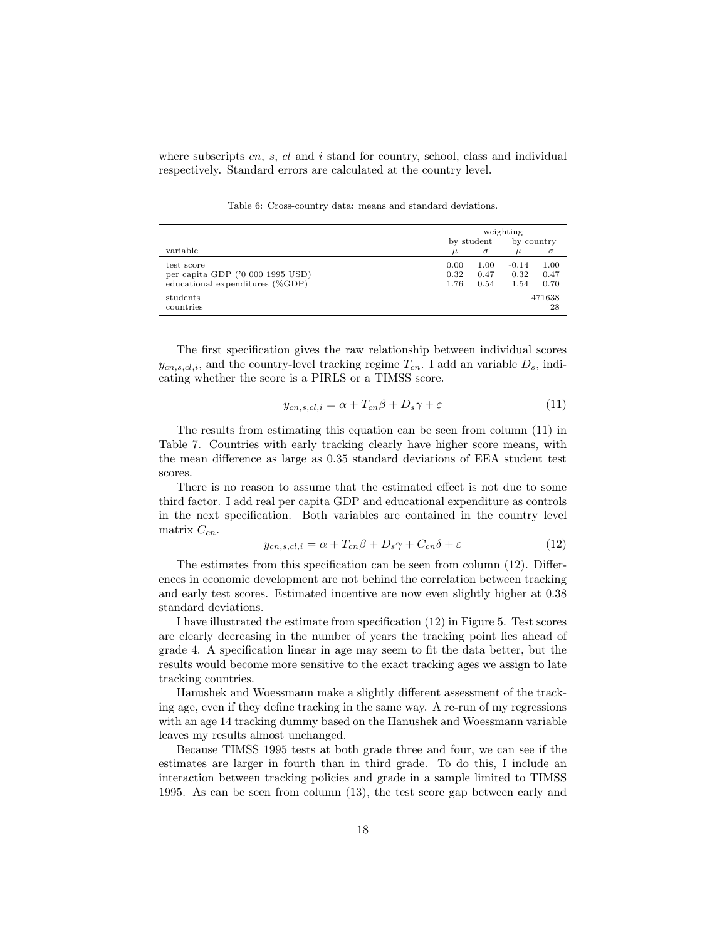where subscripts  $cn$ , s,  $cl$  and  $i$  stand for country, school, class and individual respectively. Standard errors are calculated at the country level.

weighting<br>by student by by country variable  $\mu$   $\sigma$   $\mu$   $\sigma$ test score 0.00 1.00 -0.14 1.00 per capita GDP ('0 000 1995 USD) 0.32 0.47 0.32 0.47 educational expenditures (%GDP) 1.76 0.54 1.54 0.70 students and the state of the state of the state of the state of the state of the state of the state of the state of the state of the state of the state of the state of the state of the state of the state of the state of t countries 28

Table 6: Cross-country data: means and standard deviations.

The first specification gives the raw relationship between individual scores  $y_{cn,s,cl,i}$ , and the country-level tracking regime  $T_{cn}$ . I add an variable  $D_s$ , indicating whether the score is a PIRLS or a TIMSS score.

$$
y_{cn,s,cl,i} = \alpha + T_{cn}\beta + D_s\gamma + \varepsilon \tag{11}
$$

The results from estimating this equation can be seen from column (11) in Table 7. Countries with early tracking clearly have higher score means, with the mean difference as large as 0.35 standard deviations of EEA student test scores.

There is no reason to assume that the estimated effect is not due to some third factor. I add real per capita GDP and educational expenditure as controls in the next specification. Both variables are contained in the country level matrix  $C_{cn}$ .

$$
y_{cn,s,cl,i} = \alpha + T_{cn}\beta + D_s\gamma + C_{cn}\delta + \varepsilon
$$
\n(12)

The estimates from this specification can be seen from column (12). Differences in economic development are not behind the correlation between tracking and early test scores. Estimated incentive are now even slightly higher at 0.38 standard deviations.

I have illustrated the estimate from specification (12) in Figure 5. Test scores are clearly decreasing in the number of years the tracking point lies ahead of grade 4. A specification linear in age may seem to fit the data better, but the results would become more sensitive to the exact tracking ages we assign to late tracking countries.

Hanushek and Woessmann make a slightly different assessment of the tracking age, even if they define tracking in the same way. A re-run of my regressions with an age 14 tracking dummy based on the Hanushek and Woessmann variable leaves my results almost unchanged.

Because TIMSS 1995 tests at both grade three and four, we can see if the estimates are larger in fourth than in third grade. To do this, I include an interaction between tracking policies and grade in a sample limited to TIMSS 1995. As can be seen from column (13), the test score gap between early and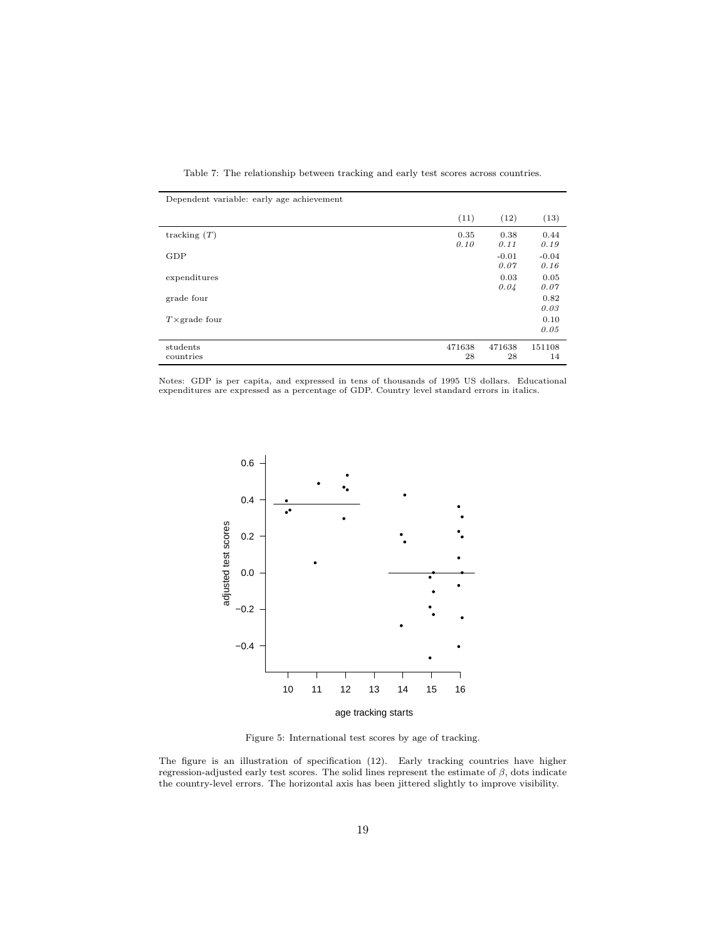| Dependent variable: early age achievement |              |                 |                 |
|-------------------------------------------|--------------|-----------------|-----------------|
|                                           | (11)         | (12)            | (13)            |
| tracking $(T)$                            | 0.35<br>0.10 | 0.38<br>0.11    | 0.44<br>0.19    |
| GDP                                       |              | $-0.01$<br>0.07 | $-0.04$<br>0.16 |
| expenditures                              |              | 0.03<br>0.04    | 0.05<br>0.07    |
| grade four                                |              |                 | 0.82<br>0.03    |
| $T \times$ grade four                     |              |                 | 0.10<br>0.05    |
| students<br>countries                     | 471638<br>28 | 471638<br>28    | 151108<br>14    |

Table 7: The relationship between tracking and early test scores across countries.

Notes: GDP is per capita, and expressed in tens of thousands of 1995 US dollars. Educational expenditures are expressed as a percentage of GDP. Country level standard errors in italics.



Figure 5: International test scores by age of tracking.

The figure is an illustration of specification (12). Early tracking countries have higher regression-adjusted early test scores. The solid lines represent the estimate of  $\beta$ , dots indicate the country-level errors. The horizontal axis has been jittered slightly to improve visibility.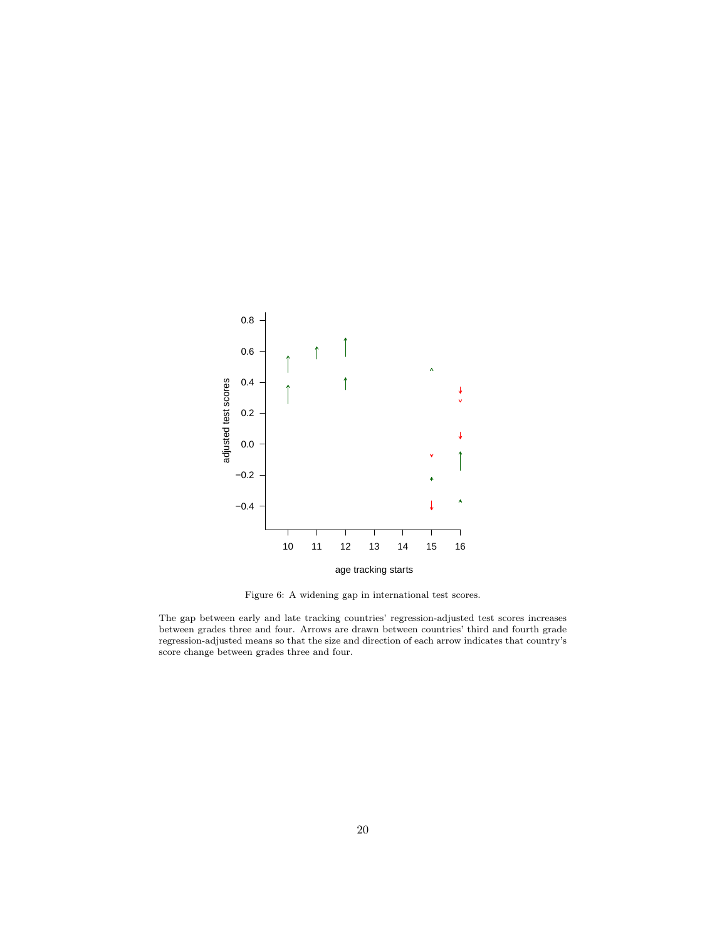

Figure 6: A widening gap in international test scores.

The gap between early and late tracking countries' regression-adjusted test scores increases between grades three and four. Arrows are drawn between countries' third and fourth grade regression-adjusted means so that the size and direction of each arrow indicates that country's score change between grades three and four.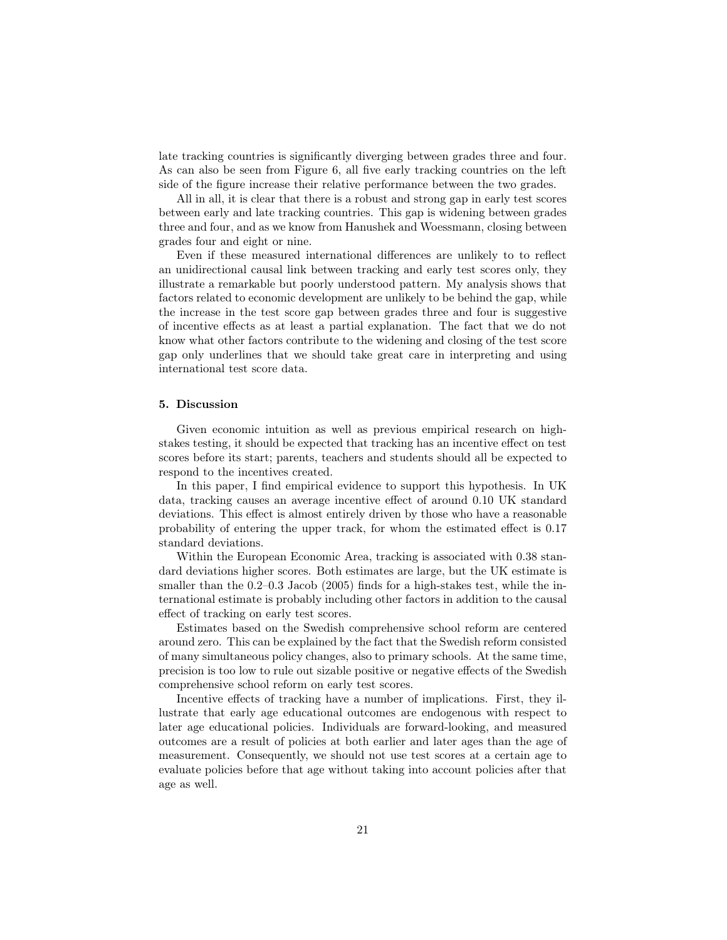late tracking countries is significantly diverging between grades three and four. As can also be seen from Figure 6, all five early tracking countries on the left side of the figure increase their relative performance between the two grades.

All in all, it is clear that there is a robust and strong gap in early test scores between early and late tracking countries. This gap is widening between grades three and four, and as we know from Hanushek and Woessmann, closing between grades four and eight or nine.

Even if these measured international differences are unlikely to to reflect an unidirectional causal link between tracking and early test scores only, they illustrate a remarkable but poorly understood pattern. My analysis shows that factors related to economic development are unlikely to be behind the gap, while the increase in the test score gap between grades three and four is suggestive of incentive effects as at least a partial explanation. The fact that we do not know what other factors contribute to the widening and closing of the test score gap only underlines that we should take great care in interpreting and using international test score data.

## 5. Discussion

Given economic intuition as well as previous empirical research on highstakes testing, it should be expected that tracking has an incentive effect on test scores before its start; parents, teachers and students should all be expected to respond to the incentives created.

In this paper, I find empirical evidence to support this hypothesis. In UK data, tracking causes an average incentive effect of around 0.10 UK standard deviations. This effect is almost entirely driven by those who have a reasonable probability of entering the upper track, for whom the estimated effect is 0.17 standard deviations.

Within the European Economic Area, tracking is associated with 0.38 standard deviations higher scores. Both estimates are large, but the UK estimate is smaller than the  $0.2-0.3$  Jacob (2005) finds for a high-stakes test, while the international estimate is probably including other factors in addition to the causal effect of tracking on early test scores.

Estimates based on the Swedish comprehensive school reform are centered around zero. This can be explained by the fact that the Swedish reform consisted of many simultaneous policy changes, also to primary schools. At the same time, precision is too low to rule out sizable positive or negative effects of the Swedish comprehensive school reform on early test scores.

Incentive effects of tracking have a number of implications. First, they illustrate that early age educational outcomes are endogenous with respect to later age educational policies. Individuals are forward-looking, and measured outcomes are a result of policies at both earlier and later ages than the age of measurement. Consequently, we should not use test scores at a certain age to evaluate policies before that age without taking into account policies after that age as well.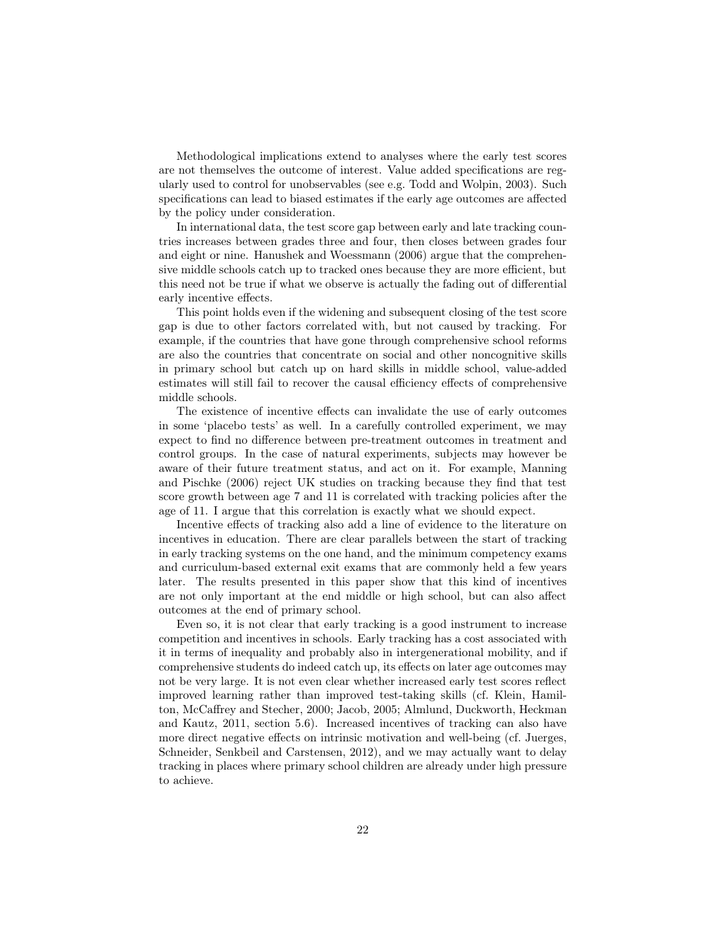Methodological implications extend to analyses where the early test scores are not themselves the outcome of interest. Value added specifications are regularly used to control for unobservables (see e.g. Todd and Wolpin, 2003). Such specifications can lead to biased estimates if the early age outcomes are affected by the policy under consideration.

In international data, the test score gap between early and late tracking countries increases between grades three and four, then closes between grades four and eight or nine. Hanushek and Woessmann (2006) argue that the comprehensive middle schools catch up to tracked ones because they are more efficient, but this need not be true if what we observe is actually the fading out of differential early incentive effects.

This point holds even if the widening and subsequent closing of the test score gap is due to other factors correlated with, but not caused by tracking. For example, if the countries that have gone through comprehensive school reforms are also the countries that concentrate on social and other noncognitive skills in primary school but catch up on hard skills in middle school, value-added estimates will still fail to recover the causal efficiency effects of comprehensive middle schools.

The existence of incentive effects can invalidate the use of early outcomes in some 'placebo tests' as well. In a carefully controlled experiment, we may expect to find no difference between pre-treatment outcomes in treatment and control groups. In the case of natural experiments, subjects may however be aware of their future treatment status, and act on it. For example, Manning and Pischke (2006) reject UK studies on tracking because they find that test score growth between age 7 and 11 is correlated with tracking policies after the age of 11. I argue that this correlation is exactly what we should expect.

Incentive effects of tracking also add a line of evidence to the literature on incentives in education. There are clear parallels between the start of tracking in early tracking systems on the one hand, and the minimum competency exams and curriculum-based external exit exams that are commonly held a few years later. The results presented in this paper show that this kind of incentives are not only important at the end middle or high school, but can also affect outcomes at the end of primary school.

Even so, it is not clear that early tracking is a good instrument to increase competition and incentives in schools. Early tracking has a cost associated with it in terms of inequality and probably also in intergenerational mobility, and if comprehensive students do indeed catch up, its effects on later age outcomes may not be very large. It is not even clear whether increased early test scores reflect improved learning rather than improved test-taking skills (cf. Klein, Hamilton, McCaffrey and Stecher, 2000; Jacob, 2005; Almlund, Duckworth, Heckman and Kautz, 2011, section 5.6). Increased incentives of tracking can also have more direct negative effects on intrinsic motivation and well-being (cf. Juerges, Schneider, Senkbeil and Carstensen, 2012), and we may actually want to delay tracking in places where primary school children are already under high pressure to achieve.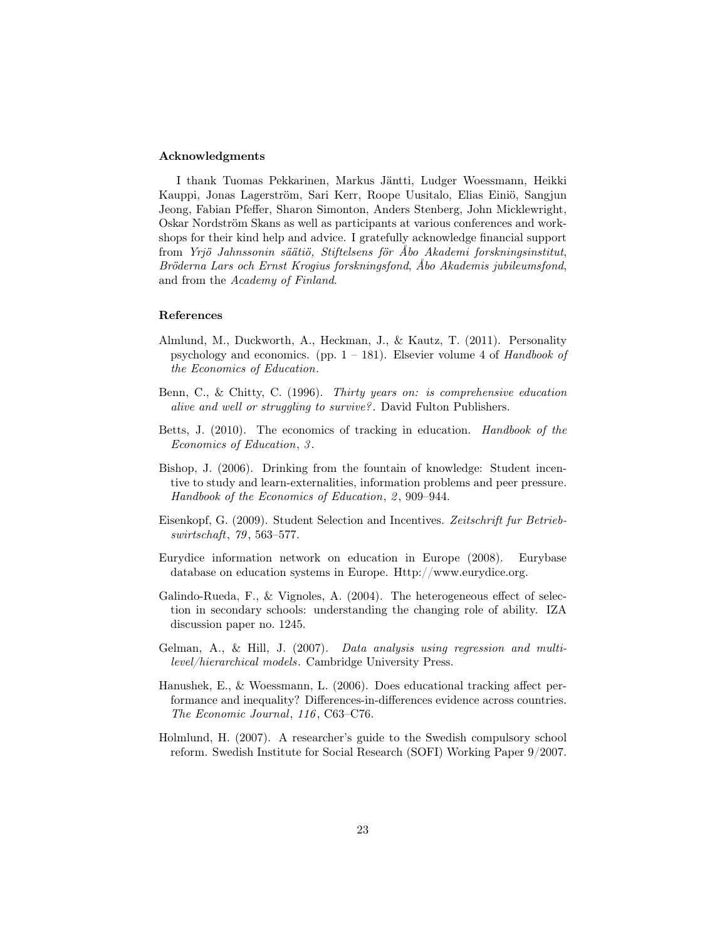## Acknowledgments

I thank Tuomas Pekkarinen, Markus Jäntti, Ludger Woessmann, Heikki Kauppi, Jonas Lagerström, Sari Kerr, Roope Uusitalo, Elias Einiö, Sangjun Jeong, Fabian Pfeffer, Sharon Simonton, Anders Stenberg, John Micklewright, Oskar Nordström Skans as well as participants at various conferences and workshops for their kind help and advice. I gratefully acknowledge financial support from Yrjö Jahnssonin säätiö, Stiftelsens för Åbo Akademi forskningsinstitut, Bröderna Lars och Ernst Krogius forskningsfond, Åbo Akademis jubileumsfond, and from the Academy of Finland.

#### References

- Almlund, M., Duckworth, A., Heckman, J., & Kautz, T. (2011). Personality psychology and economics. (pp.  $1 - 181$ ). Elsevier volume 4 of Handbook of the Economics of Education.
- Benn, C., & Chitty, C. (1996). Thirty years on: is comprehensive education alive and well or struggling to survive? . David Fulton Publishers.
- Betts, J. (2010). The economics of tracking in education. Handbook of the Economics of Education, 3.
- Bishop, J. (2006). Drinking from the fountain of knowledge: Student incentive to study and learn-externalities, information problems and peer pressure. Handbook of the Economics of Education, 2, 909-944.
- Eisenkopf, G. (2009). Student Selection and Incentives. Zeitschrift fur Betriebswirtschaft, 79, 563–577.
- Eurydice information network on education in Europe (2008). Eurybase database on education systems in Europe. Http://www.eurydice.org.
- Galindo-Rueda, F., & Vignoles, A. (2004). The heterogeneous effect of selection in secondary schools: understanding the changing role of ability. IZA discussion paper no. 1245.
- Gelman, A., & Hill, J. (2007). Data analysis using regression and multilevel/hierarchical models. Cambridge University Press.
- Hanushek, E., & Woessmann, L. (2006). Does educational tracking affect performance and inequality? Differences-in-differences evidence across countries. The Economic Journal, 116, C63-C76.
- Holmlund, H. (2007). A researcher's guide to the Swedish compulsory school reform. Swedish Institute for Social Research (SOFI) Working Paper 9/2007.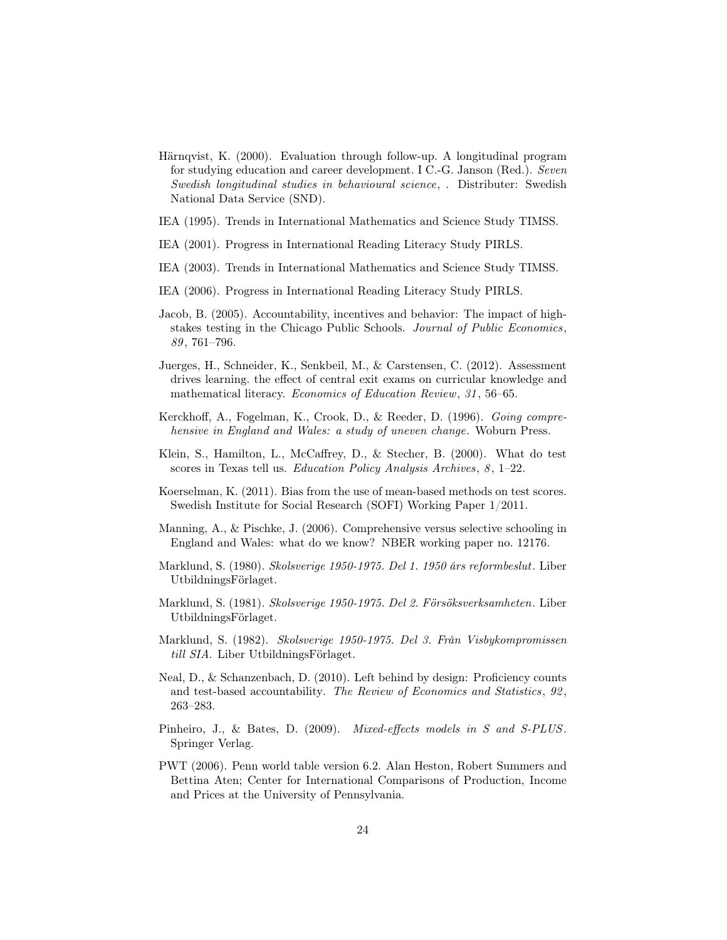- Härnqvist, K. (2000). Evaluation through follow-up. A longitudinal program for studying education and career development. I C.-G. Janson (Red.). Seven Swedish longitudinal studies in behavioural science, . Distributer: Swedish National Data Service (SND).
- IEA (1995). Trends in International Mathematics and Science Study TIMSS.
- IEA (2001). Progress in International Reading Literacy Study PIRLS.
- IEA (2003). Trends in International Mathematics and Science Study TIMSS.
- IEA (2006). Progress in International Reading Literacy Study PIRLS.
- Jacob, B. (2005). Accountability, incentives and behavior: The impact of highstakes testing in the Chicago Public Schools. Journal of Public Economics, 89 , 761–796.
- Juerges, H., Schneider, K., Senkbeil, M., & Carstensen, C. (2012). Assessment drives learning. the effect of central exit exams on curricular knowledge and mathematical literacy. *Economics of Education Review*, 31, 56–65.
- Kerckhoff, A., Fogelman, K., Crook, D., & Reeder, D. (1996). Going comprehensive in England and Wales: a study of uneven change. Woburn Press.
- Klein, S., Hamilton, L., McCaffrey, D., & Stecher, B. (2000). What do test scores in Texas tell us. Education Policy Analysis Archives, 8, 1-22.
- Koerselman, K. (2011). Bias from the use of mean-based methods on test scores. Swedish Institute for Social Research (SOFI) Working Paper 1/2011.
- Manning, A., & Pischke, J. (2006). Comprehensive versus selective schooling in England and Wales: what do we know? NBER working paper no. 12176.
- Marklund, S. (1980). Skolsverige 1950-1975. Del 1. 1950 års reformbeslut. Liber UtbildningsFörlaget.
- Marklund, S. (1981). Skolsverige 1950-1975. Del 2. Försöksverksamheten. Liber UtbildningsFörlaget.
- Marklund, S. (1982). Skolsverige 1950-1975. Del 3. Från Visbykompromissen till SIA. Liber UtbildningsFörlaget.
- Neal, D., & Schanzenbach, D. (2010). Left behind by design: Proficiency counts and test-based accountability. The Review of Economics and Statistics, 92, 263–283.
- Pinheiro, J., & Bates, D. (2009). Mixed-effects models in S and S-PLUS. Springer Verlag.
- PWT (2006). Penn world table version 6.2. Alan Heston, Robert Summers and Bettina Aten; Center for International Comparisons of Production, Income and Prices at the University of Pennsylvania.